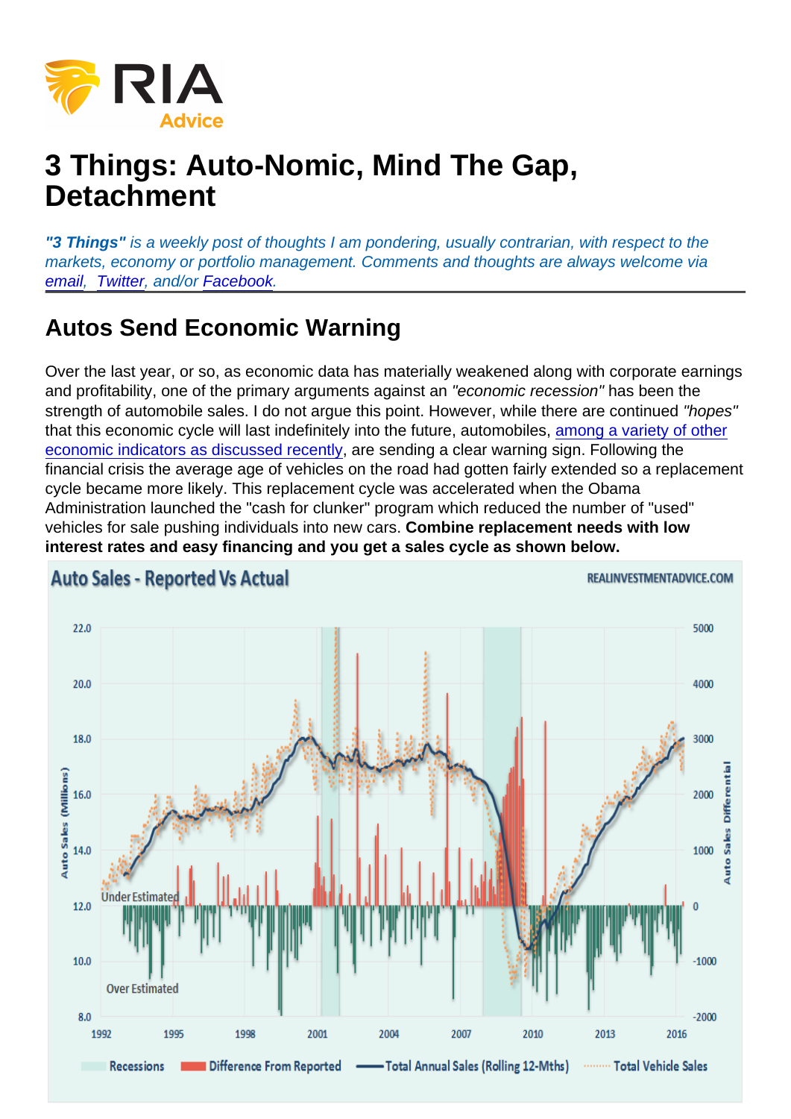## 3 Things: Auto-Nomic, Mind The Gap, **Detachment**

"3 Things" is a weekly post of thoughts I am pondering, usually contrarian, with respect to the markets, economy or portfolio management. Comments and thoughts are always welcome via [email,](mailto:lance@realinvestmentadvice.com) [Twitter,](https://twitter.com/LanceRoberts) and/or [Facebook](https://www.facebook.com/RealInvestmentAdvice/).

## Autos Send Economic Warning

Over the last year, or so, as economic data has materially weakened along with corporate earnings and profitability, one of the primary arguments against an "economic recession" has been the strength of automobile sales. I do not argue this point. However, while there are continued "hopes" that this economic cycle will last indefinitely into the future, automobiles, [among a variety of other](https://realinvestmentadvice.com/economy-in-pictures-weakness-continues/) [economic indicators as discussed recently](https://realinvestmentadvice.com/economy-in-pictures-weakness-continues/), are sending a clear warning sign. Following the financial crisis the average age of vehicles on the road had gotten fairly extended so a replacement cycle became more likely. This replacement cycle was accelerated when the Obama Administration launched the "cash for clunker" program which reduced the number of "used" vehicles for sale pushing individuals into new cars. Combine replacement needs with low interest rates and easy financing and you get a sales cycle as shown below.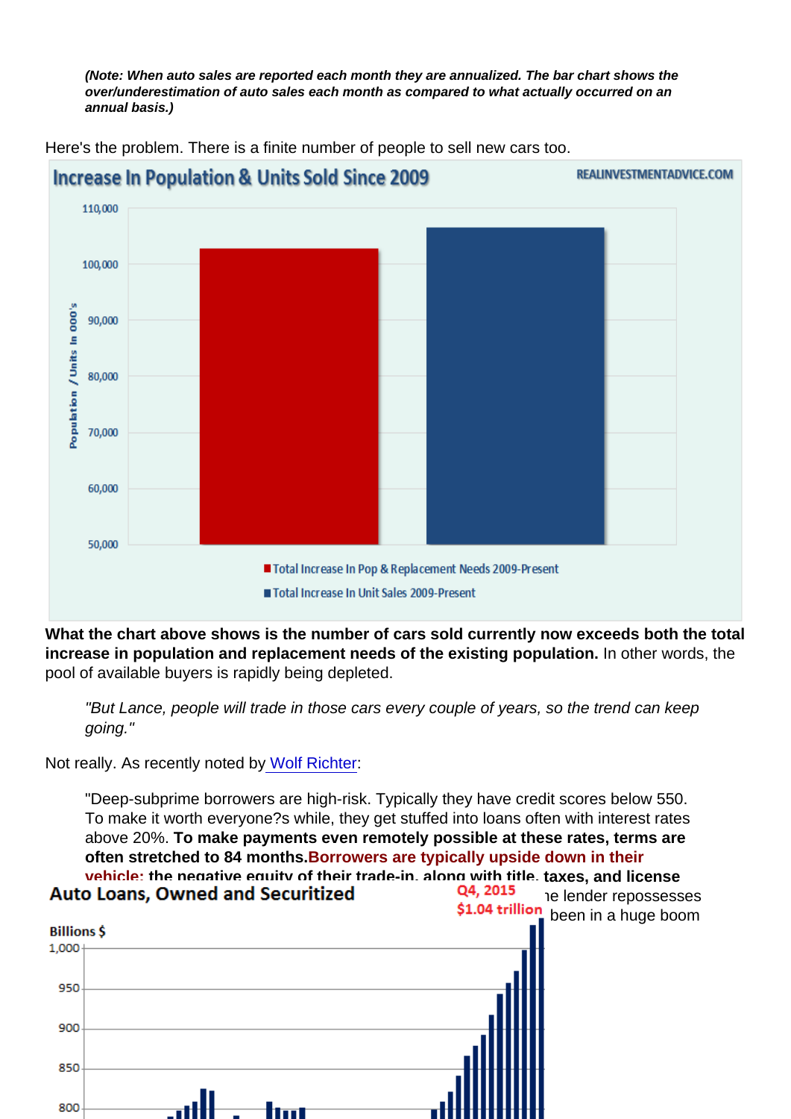(Note: When auto sales are reported each month they are annualized. The bar chart shows the over/underestimation of auto sales each month as compared to what actually occurred on an annual basis.)

Here's the problem. There is a finite number of people to sell new cars too.

What the chart above shows is the number of cars sold currently now exceeds both the total increase in population and replacement needs of the existing population. In other words, the pool of available buyers is rapidly being depleted.

"But Lance, people will trade in those cars every couple of years, so the trend can keep going."

Not really. As recently noted b[y Wolf Richter:](http://wolfstreet.com/2016/02/23/subprime-auto-loan-asset-backed-securities-come-home-to-roost-in-your-bond-fund/)

"Deep-subprime borrowers are high-risk. Typically they have credit scores below 550. To make it worth everyone?s while, they get stuffed into loans often with interest rates above 20%. To make payments even remotely possible at these rates, terms are often stretched to 84 months. Borrowers are typically upside down in their vehicle: the negative equity of their trade-in, along with title, taxes, and license [fees, and a hefty dealer profit are rolled into the loan. When th](https://realinvestmentadvice.com/wp-content/uploads/2016/05/Auto-Loans-Owned-Securitized-052616.png)e lender repossesses the vehicle, losses add up in a hurry. Auto loans, in general, have been in a huge boom that reached \$1.04 trillion in the fourth quarter 2015:"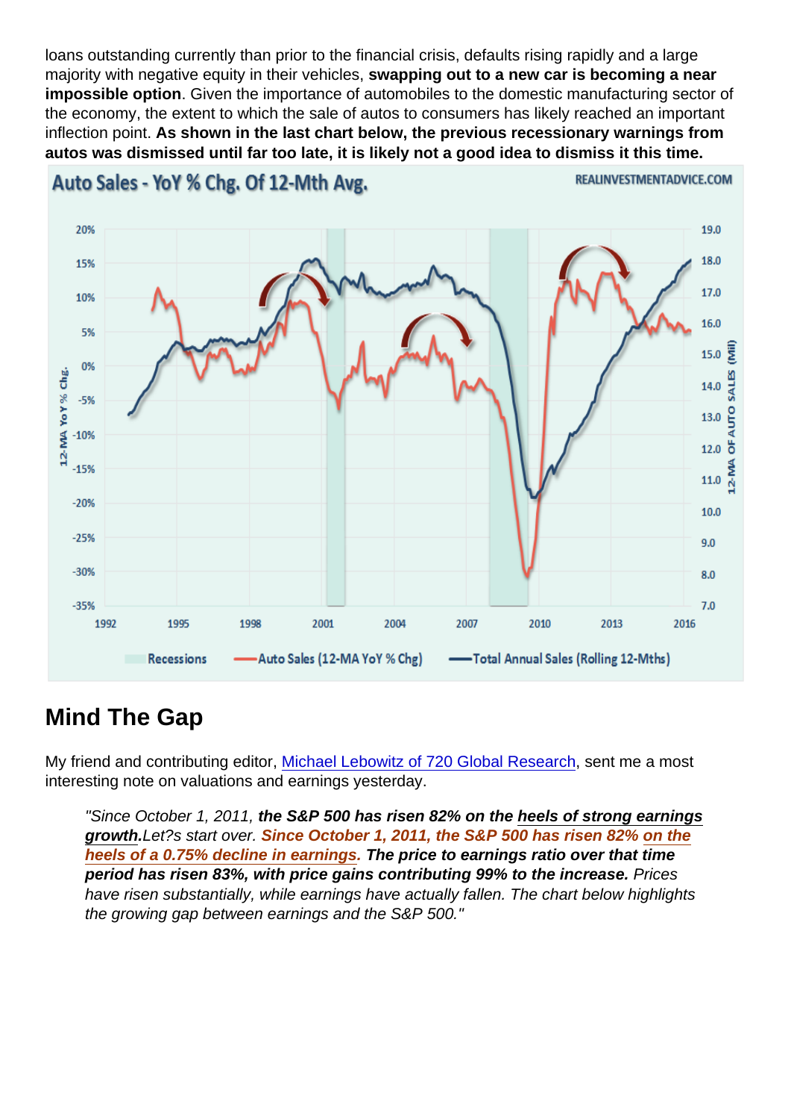loans outstanding currently than prior to the financial crisis, defaults rising rapidly and a large majority with negative equity in their vehicles, swapping out to a new car is becoming a near impossible option . Given the importance of automobiles to the domestic manufacturing sector of the economy, the extent to which the sale of autos to consumers has likely reached an important inflection point. As shown in the last chart below, the previous recessionary warnings from autos was dismissed until far too late, it is likely not a good idea to dismiss it this time.

## Mind The Gap

My friend and contributing editor, [Michael Lebowitz of 720 Global Research,](http://www.720global.com) sent me a most interesting note on valuations and earnings yesterday.

"Since October 1, 2011, the S&P 500 has risen 82% on the heels of strong earnings growth .Let?s start over. Since October 1, 2011, the S&P 500 has risen 82% on the heels of a 0.75% decline in earnings . The price to earnings ratio over that time period has risen 83%, with price gains contributing 99% to the increase. Prices have risen substantially, while earnings have actually fallen. The chart below highlights the growing gap between earnings and the S&P 500."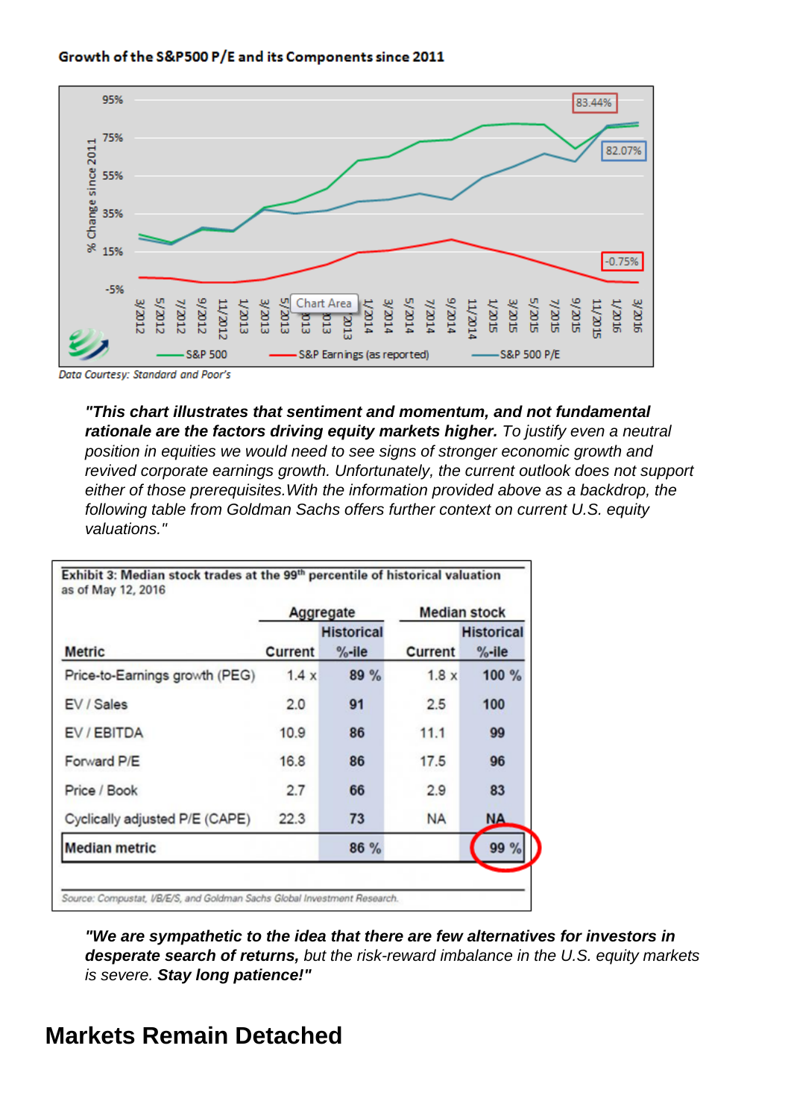"This chart illustrates that sentiment and momentum, and not fundamental rationale are the factors driving equity markets higher. To justify even a neutral position in equities we would need to see signs of stronger economic growth and revived corporate earnings growth. Unfortunately, the current outlook does not support either of those prerequisites.With the information provided above as a backdrop, the following table from Goldman Sachs offers further context on current U.S. equity valuations."

"We are sympathetic to the idea that there are few alternatives for investors in desperate search of returns, but the risk-reward imbalance in the U.S. equity markets is severe. Stay long patience!"

Markets Remain Detached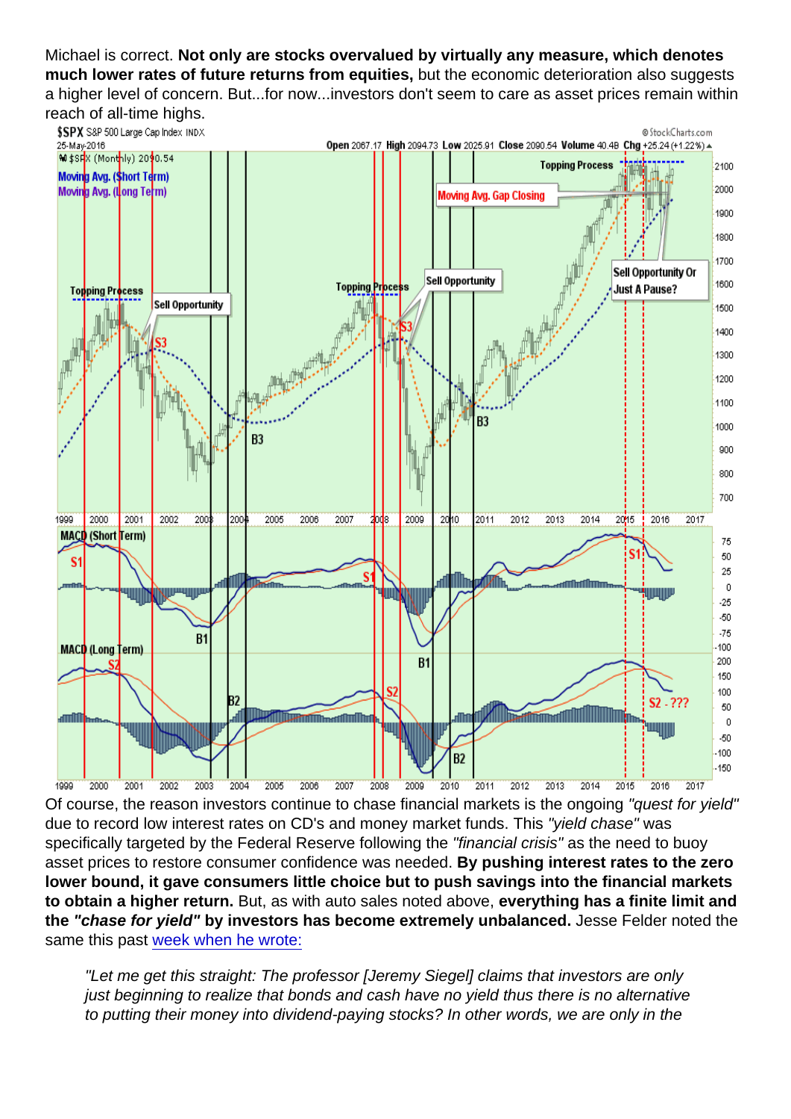Michael is correct. Not only are stocks overvalued by virtually any measure, which denotes much lower rates of future returns from equities, but the economic deterioration also suggests a higher level of concern. But...for now...investors don't seem to care as asset prices remain within reach of all-time highs.

Of course, the reason investors continue to chase financial markets is the ongoing "quest for yield" due to record low interest rates on CD's and money market funds. This "yield chase" was specifically targeted by the Federal Reserve following the "financial crisis" as the need to buoy asset prices to restore consumer confidence was needed. By pushing interest rates to the zero lower bound, it gave consumers little choice but to push savings into the financial markets to obtain a higher return. But, as with auto sales noted above, everything has a finite limit and the "chase for yield" by investors has become extremely unbalanced. Jesse Felder noted the same this past [week when he wrote:](https://www.thefelderreport.com/2016/05/25/dear-prof-siegel-are-you-fing-kidding-me/)

"Let me get this straight: The professor [Jeremy Siegel] claims that investors are only just beginning to realize that bonds and cash have no yield thus there is no alternative to putting their money into dividend-paying stocks? In other words, we are only in the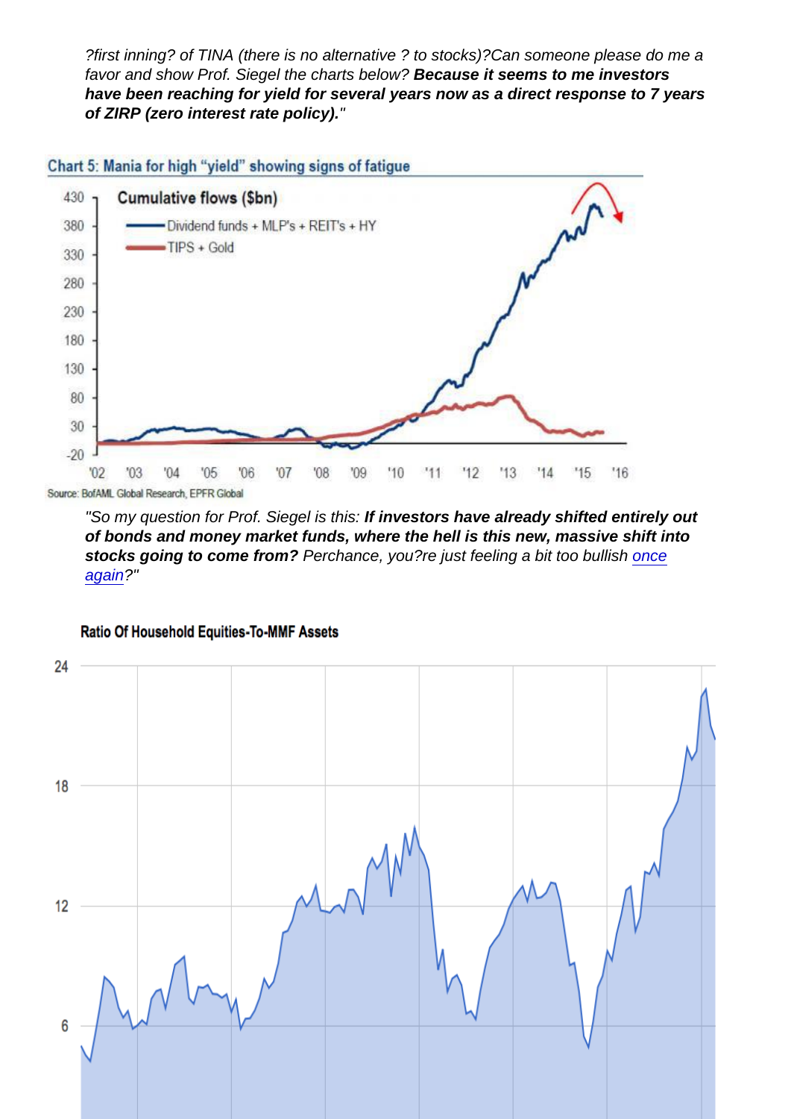?first inning? of TINA (there is no alternative ? to stocks)?Can someone please do me a favor and show Prof. Siegel the charts below? Because it seems to me investors have been reaching for yield for several years now as a direct response to 7 years of ZIRP (zero interest rate policy). "

"So my question for Prof. Siegel is this: If investors have already shifted entirely out of bonds and money market funds, where the hell is this new, massive shift into stocks going to come from? Perchance, you?re just feeling a bit too bullish [once](https://www.cnbc.com/2016/02/08/jeremy-siegel-i-was-too-bullish-and-heres-why.html) [again](https://www.cnbc.com/2016/02/08/jeremy-siegel-i-was-too-bullish-and-heres-why.html)?"